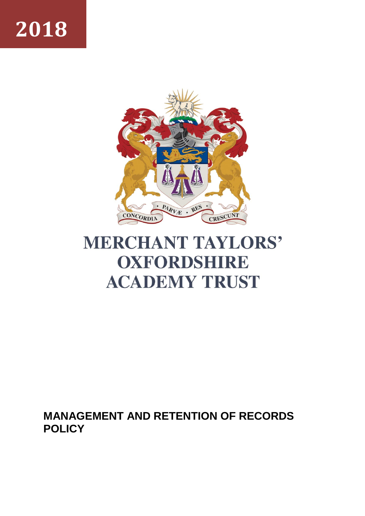# **2018**



## **MERCHANT TAYLORS' OXFORDSHIRE ACADEMY TRUST**

### **MANAGEMENT AND RETENTION OF RECORDS POLICY**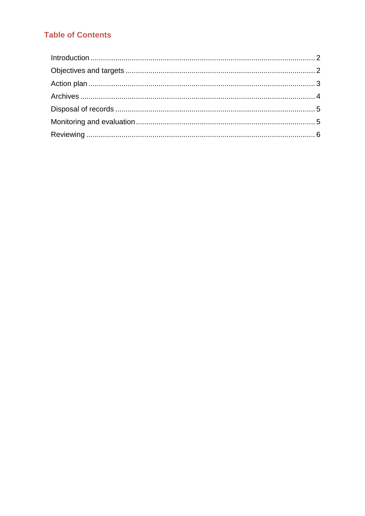#### **Table of Contents**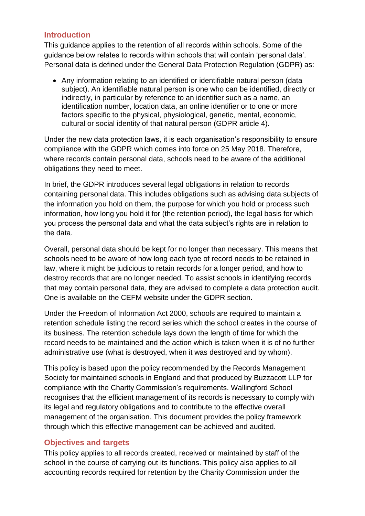#### <span id="page-2-0"></span>**Introduction**

This guidance applies to the retention of all records within schools. Some of the guidance below relates to records within schools that will contain 'personal data'. Personal data is defined under the General Data Protection Regulation (GDPR) as:

 Any information relating to an identified or identifiable natural person (data subject). An identifiable natural person is one who can be identified, directly or indirectly, in particular by reference to an identifier such as a name, an identification number, location data, an online identifier or to one or more factors specific to the physical, physiological, genetic, mental, economic, cultural or social identity of that natural person (GDPR article 4).

Under the new data protection laws, it is each organisation's responsibility to ensure compliance with the GDPR which comes into force on 25 May 2018. Therefore, where records contain personal data, schools need to be aware of the additional obligations they need to meet.

In brief, the GDPR introduces several legal obligations in relation to records containing personal data. This includes obligations such as advising data subjects of the information you hold on them, the purpose for which you hold or process such information, how long you hold it for (the retention period), the legal basis for which you process the personal data and what the data subject's rights are in relation to the data.

Overall, personal data should be kept for no longer than necessary. This means that schools need to be aware of how long each type of record needs to be retained in law, where it might be judicious to retain records for a longer period, and how to destroy records that are no longer needed. To assist schools in identifying records that may contain personal data, they are advised to complete a data protection audit. One is available on the CEFM website under the GDPR section.

Under the Freedom of Information Act 2000, schools are required to maintain a retention schedule listing the record series which the school creates in the course of its business. The retention schedule lays down the length of time for which the record needs to be maintained and the action which is taken when it is of no further administrative use (what is destroyed, when it was destroyed and by whom).

This policy is based upon the policy recommended by the Records Management Society for maintained schools in England and that produced by Buzzacott LLP for compliance with the Charity Commission's requirements. Wallingford School recognises that the efficient management of its records is necessary to comply with its legal and regulatory obligations and to contribute to the effective overall management of the organisation. This document provides the policy framework through which this effective management can be achieved and audited.

#### <span id="page-2-1"></span>**Objectives and targets**

This policy applies to all records created, received or maintained by staff of the school in the course of carrying out its functions. This policy also applies to all accounting records required for retention by the Charity Commission under the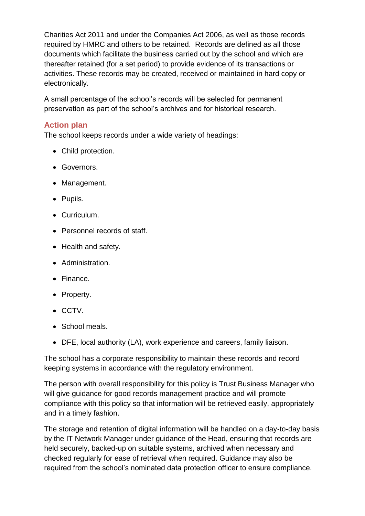Charities Act 2011 and under the Companies Act 2006, as well as those records required by HMRC and others to be retained. Records are defined as all those documents which facilitate the business carried out by the school and which are thereafter retained (for a set period) to provide evidence of its transactions or activities. These records may be created, received or maintained in hard copy or electronically.

A small percentage of the school's records will be selected for permanent preservation as part of the school's archives and for historical research.

#### <span id="page-3-0"></span>**Action plan**

The school keeps records under a wide variety of headings:

- Child protection.
- **Governors.**
- Management.
- Pupils.
- Curriculum.
- Personnel records of staff.
- Health and safety.
- Administration.
- Finance.
- Property.
- CCTV.
- School meals.
- DFE, local authority (LA), work experience and careers, family liaison.

The school has a corporate responsibility to maintain these records and record keeping systems in accordance with the regulatory environment.

The person with overall responsibility for this policy is Trust Business Manager who will give guidance for good records management practice and will promote compliance with this policy so that information will be retrieved easily, appropriately and in a timely fashion.

The storage and retention of digital information will be handled on a day-to-day basis by the IT Network Manager under guidance of the Head, ensuring that records are held securely, backed-up on suitable systems, archived when necessary and checked regularly for ease of retrieval when required. Guidance may also be required from the school's nominated data protection officer to ensure compliance.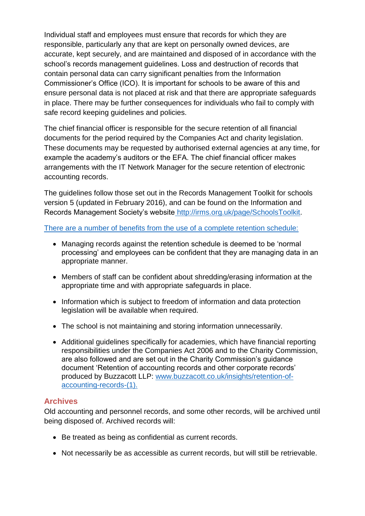Individual staff and employees must ensure that records for which they are responsible, particularly any that are kept on personally owned devices, are accurate, kept securely, and are maintained and disposed of in accordance with the school's records management guidelines. Loss and destruction of records that contain personal data can carry significant penalties from the Information Commissioner's Office (ICO). It is important for schools to be aware of this and ensure personal data is not placed at risk and that there are appropriate safeguards in place. There may be further consequences for individuals who fail to comply with safe record keeping guidelines and policies.

The chief financial officer is responsible for the secure retention of all financial documents for the period required by the Companies Act and charity legislation. These documents may be requested by authorised external agencies at any time, for example the academy's auditors or the EFA. The chief financial officer makes arrangements with the IT Network Manager for the secure retention of electronic accounting records.

The guidelines follow those set out in the Records Management Toolkit for schools version 5 (updated in February 2016), and can be found on the Information and Records Management Society's website [http://irms.org.uk/page/SchoolsToolkit.](http://irms.org.uk/page/SchoolsToolkit)

There are a number of benefits from the use of a complete retention schedule:

- Managing records against the retention schedule is deemed to be 'normal processing' and employees can be confident that they are managing data in an appropriate manner.
- Members of staff can be confident about shredding/erasing information at the appropriate time and with appropriate safeguards in place.
- Information which is subject to freedom of information and data protection legislation will be available when required.
- The school is not maintaining and storing information unnecessarily.
- Additional guidelines specifically for academies, which have financial reporting responsibilities under the Companies Act 2006 and to the Charity Commission, are also followed and are set out in the Charity Commission's guidance document 'Retention of accounting records and other corporate records' produced by Buzzacott LLP: [www.buzzacott.co.uk/insights/retention-of](http://www.buzzacott.co.uk/insights/retention-of-accounting-records-(1))[accounting-records-\(1\).](http://www.buzzacott.co.uk/insights/retention-of-accounting-records-(1))

#### <span id="page-4-0"></span>**Archives**

Old accounting and personnel records, and some other records, will be archived until being disposed of. Archived records will:

- Be treated as being as confidential as current records.
- Not necessarily be as accessible as current records, but will still be retrievable.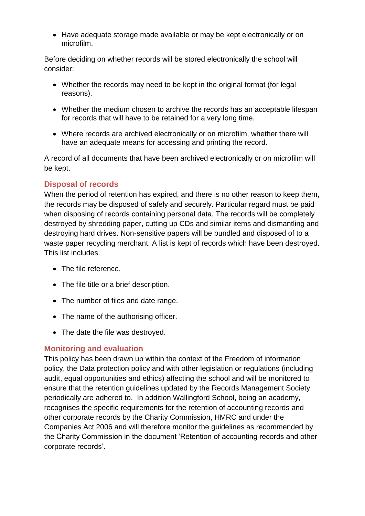• Have adequate storage made available or may be kept electronically or on microfilm.

Before deciding on whether records will be stored electronically the school will consider:

- Whether the records may need to be kept in the original format (for legal reasons).
- Whether the medium chosen to archive the records has an acceptable lifespan for records that will have to be retained for a very long time.
- Where records are archived electronically or on microfilm, whether there will have an adequate means for accessing and printing the record.

A record of all documents that have been archived electronically or on microfilm will be kept.

#### <span id="page-5-0"></span>**Disposal of records**

When the period of retention has expired, and there is no other reason to keep them, the records may be disposed of safely and securely. Particular regard must be paid when disposing of records containing personal data. The records will be completely destroyed by shredding paper, cutting up CDs and similar items and dismantling and destroying hard drives. Non-sensitive papers will be bundled and disposed of to a waste paper recycling merchant. A list is kept of records which have been destroyed. This list includes:

- The file reference
- The file title or a brief description.
- The number of files and date range.
- The name of the authorising officer.
- The date the file was destroyed.

#### <span id="page-5-1"></span>**Monitoring and evaluation**

This policy has been drawn up within the context of the Freedom of information policy, the Data protection policy and with other legislation or regulations (including audit, equal opportunities and ethics) affecting the school and will be monitored to ensure that the retention guidelines updated by the Records Management Society periodically are adhered to. In addition Wallingford School, being an academy, recognises the specific requirements for the retention of accounting records and other corporate records by the Charity Commission, HMRC and under the Companies Act 2006 and will therefore monitor the guidelines as recommended by the Charity Commission in the document 'Retention of accounting records and other corporate records'.